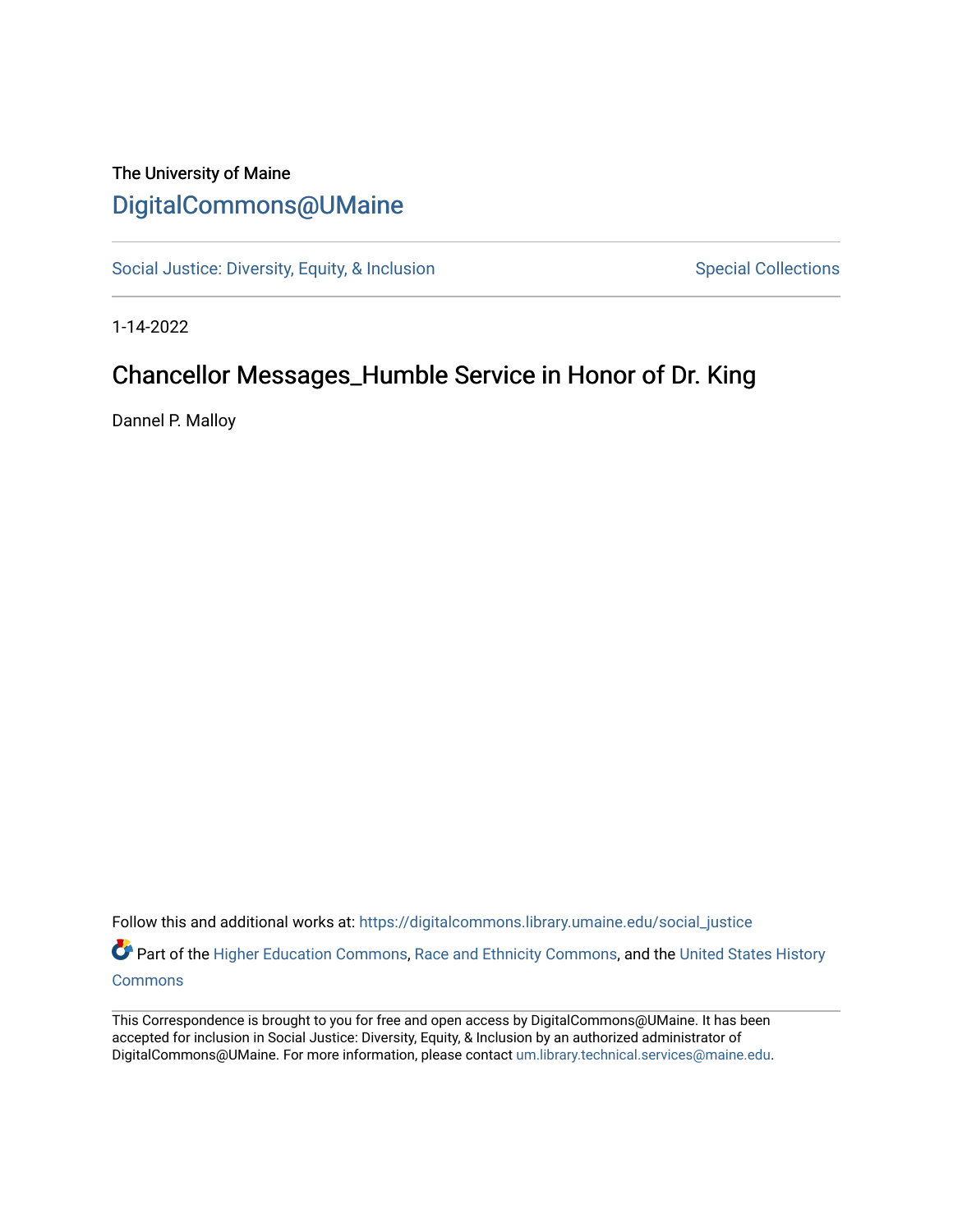## The University of Maine [DigitalCommons@UMaine](https://digitalcommons.library.umaine.edu/)

[Social Justice: Diversity, Equity, & Inclusion](https://digitalcommons.library.umaine.edu/social_justice) [Special Collections](https://digitalcommons.library.umaine.edu/specialcollections) Special Collections

1-14-2022

# Chancellor Messages\_Humble Service in Honor of Dr. King

Dannel P. Malloy

Follow this and additional works at: [https://digitalcommons.library.umaine.edu/social\\_justice](https://digitalcommons.library.umaine.edu/social_justice?utm_source=digitalcommons.library.umaine.edu%2Fsocial_justice%2F876&utm_medium=PDF&utm_campaign=PDFCoverPages) 

Part of the [Higher Education Commons,](http://network.bepress.com/hgg/discipline/1245?utm_source=digitalcommons.library.umaine.edu%2Fsocial_justice%2F876&utm_medium=PDF&utm_campaign=PDFCoverPages) [Race and Ethnicity Commons,](http://network.bepress.com/hgg/discipline/426?utm_source=digitalcommons.library.umaine.edu%2Fsocial_justice%2F876&utm_medium=PDF&utm_campaign=PDFCoverPages) and the United States History **[Commons](http://network.bepress.com/hgg/discipline/495?utm_source=digitalcommons.library.umaine.edu%2Fsocial_justice%2F876&utm_medium=PDF&utm_campaign=PDFCoverPages)** 

This Correspondence is brought to you for free and open access by DigitalCommons@UMaine. It has been accepted for inclusion in Social Justice: Diversity, Equity, & Inclusion by an authorized administrator of DigitalCommons@UMaine. For more information, please contact [um.library.technical.services@maine.edu](mailto:um.library.technical.services@maine.edu).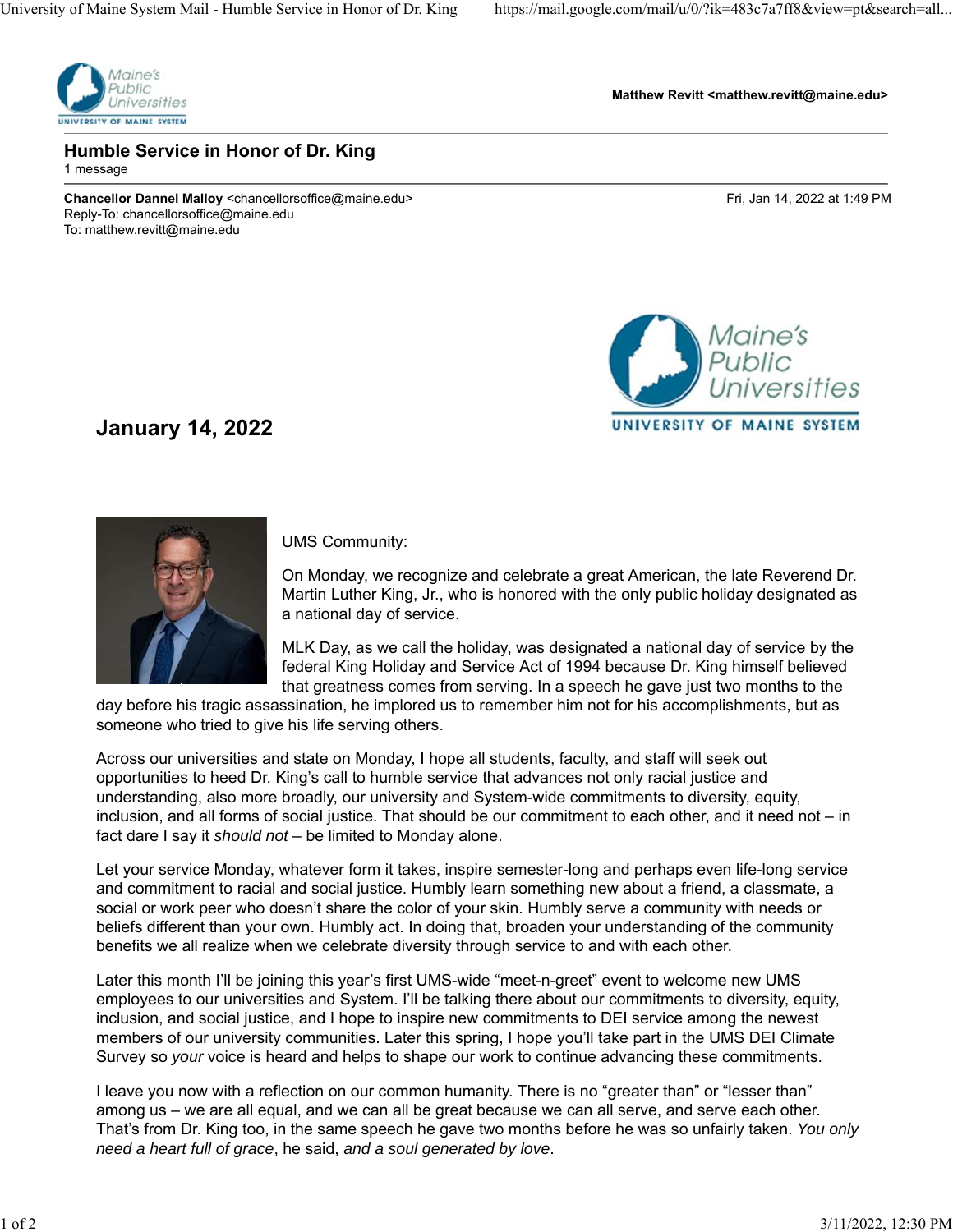

**Matthew Revitt <matthew.revitt@maine.edu>**

#### **Humble Service in Honor of Dr. King**

1 message

**Chancellor Dannel Malloy** <chancellorsoffice@maine.edu> Fri, Jan 14, 2022 at 1:49 PM Reply-To: chancellorsoffice@maine.edu To: matthew.revitt@maine.edu



### **January 14, 2022**



#### UMS Community:

On Monday, we recognize and celebrate a great American, the late Reverend Dr. Martin Luther King, Jr., who is honored with the only public holiday designated as a national day of service.

MLK Day, as we call the holiday, was designated a national day of service by the federal King Holiday and Service Act of 1994 because Dr. King himself believed that greatness comes from serving. In a speech he gave just two months to the

day before his tragic assassination, he implored us to remember him not for his accomplishments, but as someone who tried to give his life serving others.

Across our universities and state on Monday, I hope all students, faculty, and staff will seek out opportunities to heed Dr. King's call to humble service that advances not only racial justice and understanding, also more broadly, our university and System-wide commitments to diversity, equity, inclusion, and all forms of social justice. That should be our commitment to each other, and it need not – in fact dare I say it *should not* – be limited to Monday alone.

Let your service Monday, whatever form it takes, inspire semester-long and perhaps even life-long service and commitment to racial and social justice. Humbly learn something new about a friend, a classmate, a social or work peer who doesn't share the color of your skin. Humbly serve a community with needs or beliefs different than your own. Humbly act. In doing that, broaden your understanding of the community benefits we all realize when we celebrate diversity through service to and with each other.

Later this month I'll be joining this year's first UMS-wide "meet-n-greet" event to welcome new UMS employees to our universities and System. I'll be talking there about our commitments to diversity, equity, inclusion, and social justice, and I hope to inspire new commitments to DEI service among the newest members of our university communities. Later this spring, I hope you'll take part in the UMS DEI Climate Survey so *your* voice is heard and helps to shape our work to continue advancing these commitments.

I leave you now with a reflection on our common humanity. There is no "greater than" or "lesser than" among us – we are all equal, and we can all be great because we can all serve, and serve each other. That's from Dr. King too, in the same speech he gave two months before he was so unfairly taken. *You only need a heart full of grace*, he said, *and a soul generated by love*.